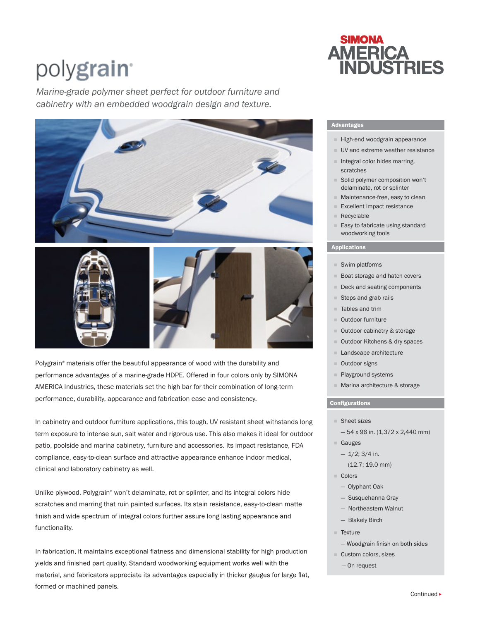# polygrain<sup>®</sup>

*Marine-grade polymer sheet perfect for outdoor furniture and cabinetry with an embedded woodgrain design and texture.* 



Polygrain® materials offer the beautiful appearance of wood with the durability and performance advantages of a marine-grade HDPE. Offered in four colors only by SIMONA AMERICA Industries, these materials set the high bar for their combination of long-term performance, durability, appearance and fabrication ease and consistency.

In cabinetry and outdoor furniture applications, this tough, UV resistant sheet withstands long term exposure to intense sun, salt water and rigorous use. This also makes it ideal for outdoor patio, poolside and marina cabinetry, furniture and accessories. Its impact resistance, FDA compliance, easy-to-clean surface and attractive appearance enhance indoor medical, clinical and laboratory cabinetry as well.

Unlike plywood, Polygrain® won't delaminate, rot or splinter, and its integral colors hide scratches and marring that ruin painted surfaces. Its stain resistance, easy-to-clean matte finish and wide spectrum of integral colors further assure long lasting appearance and functionality.

In fabrication, it maintains exceptional flatness and dimensional stability for high production yields and finished part quality. Standard woodworking equipment works well with the material, and fabricators appreciate its advantages especially in thicker gauges for large flat, formed or machined panels.

# **SIMONA AMERICA<br>INDUSTRIES**

# Advantages

- $H$ igh-end woodgrain appearance
- UV and extreme weather resistance
- $\blacksquare$  Integral color hides marring, scratches
- Solid polymer composition won't delaminate, rot or splinter
- Maintenance-free, easy to clean
- Excellent impact resistance
- Recyclable
- Easy to fabricate using standard woodworking tools

# Applications

- Swim platforms
- **Boat storage and hatch covers**
- Deck and seating components
- Steps and grab rails
- Tables and trim
- Outdoor furniture
- Outdoor cabinetry & storage
- Outdoor Kitchens & dry spaces
- **Landscape architecture**
- Outdoor signs
- Playground systems
- **Marina architecture & storage**

# Configurations

- Sheet sizes
	- $-54$  x 96 in. (1,372 x 2,440 mm)
- Gauges
	- $-1/2$ ; 3/4 in.
	- (12.7; 19.0 mm)
- Colors
	- Olyphant Oak
	- Susquehanna Gray
	- Northeastern Walnut
	- Blakely Birch
- **Texture**
- Woodgrain finish on both sides
- Custom colors, sizes
- On request